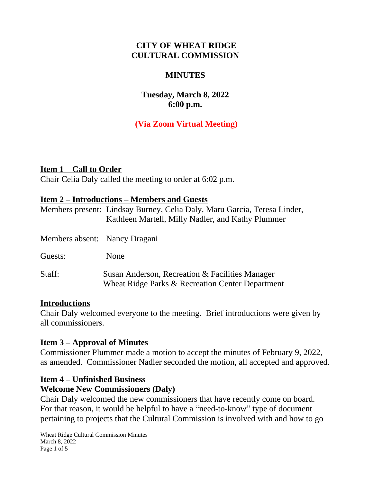## **CITY OF WHEAT RIDGE CULTURAL COMMISSION**

#### **MINUTES**

## **Tuesday, March 8, 2022 6:00 p.m.**

# **(Via Zoom Virtual Meeting)**

### **Item 1 – Call to Order**

Chair Celia Daly called the meeting to order at 6:02 p.m.

#### **Item 2 – Introductions – Members and Guests**

|                               | Members present: Lindsay Burney, Celia Daly, Maru Garcia, Teresa Linder,<br>Kathleen Martell, Milly Nadler, and Kathy Plummer |
|-------------------------------|-------------------------------------------------------------------------------------------------------------------------------|
| Members absent: Nancy Dragani |                                                                                                                               |
| Guests:                       | None                                                                                                                          |
| Staff:                        | Susan Anderson, Recreation & Facilities Manager<br>Wheat Ridge Parks & Recreation Center Department                           |

#### **Introductions**

Chair Daly welcomed everyone to the meeting. Brief introductions were given by all commissioners.

## **Item 3 – Approval of Minutes**

Commissioner Plummer made a motion to accept the minutes of February 9, 2022, as amended. Commissioner Nadler seconded the motion, all accepted and approved.

#### **Item 4 – Unfinished Business**

#### **Welcome New Commissioners (Daly)**

Chair Daly welcomed the new commissioners that have recently come on board. For that reason, it would be helpful to have a "need-to-know" type of document pertaining to projects that the Cultural Commission is involved with and how to go

Wheat Ridge Cultural Commission Minutes March 8, 2022 Page 1 of 5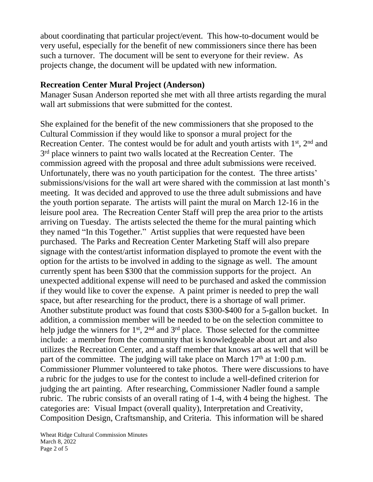about coordinating that particular project/event. This how-to-document would be very useful, especially for the benefit of new commissioners since there has been such a turnover. The document will be sent to everyone for their review. As projects change, the document will be updated with new information.

#### **Recreation Center Mural Project (Anderson)**

Manager Susan Anderson reported she met with all three artists regarding the mural wall art submissions that were submitted for the contest.

She explained for the benefit of the new commissioners that she proposed to the Cultural Commission if they would like to sponsor a mural project for the Recreation Center. The contest would be for adult and youth artists with 1<sup>st</sup>, 2<sup>nd</sup> and 3<sup>rd</sup> place winners to paint two walls located at the Recreation Center. The commission agreed with the proposal and three adult submissions were received. Unfortunately, there was no youth participation for the contest. The three artists' submissions/visions for the wall art were shared with the commission at last month's meeting. It was decided and approved to use the three adult submissions and have the youth portion separate. The artists will paint the mural on March 12-16 in the leisure pool area. The Recreation Center Staff will prep the area prior to the artists arriving on Tuesday. The artists selected the theme for the mural painting which they named "In this Together." Artist supplies that were requested have been purchased. The Parks and Recreation Center Marketing Staff will also prepare signage with the contest/artist information displayed to promote the event with the option for the artists to be involved in adding to the signage as well. The amount currently spent has been \$300 that the commission supports for the project. An unexpected additional expense will need to be purchased and asked the commission if they would like to cover the expense. A paint primer is needed to prep the wall space, but after researching for the product, there is a shortage of wall primer. Another substitute product was found that costs \$300-\$400 for a 5-gallon bucket. In addition, a commission member will be needed to be on the selection committee to help judge the winners for 1<sup>st</sup>, 2<sup>nd</sup> and 3<sup>rd</sup> place. Those selected for the committee include: a member from the community that is knowledgeable about art and also utilizes the Recreation Center, and a staff member that knows art as well that will be part of the committee. The judging will take place on March  $17<sup>th</sup>$  at  $1:00$  p.m. Commissioner Plummer volunteered to take photos. There were discussions to have a rubric for the judges to use for the contest to include a well-defined criterion for judging the art painting. After researching, Commissioner Nadler found a sample rubric. The rubric consists of an overall rating of 1-4, with 4 being the highest. The categories are: Visual Impact (overall quality), Interpretation and Creativity, Composition Design, Craftsmanship, and Criteria. This information will be shared

Wheat Ridge Cultural Commission Minutes March 8, 2022 Page 2 of 5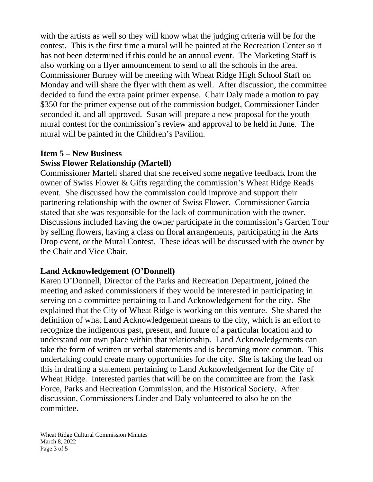with the artists as well so they will know what the judging criteria will be for the contest. This is the first time a mural will be painted at the Recreation Center so it has not been determined if this could be an annual event. The Marketing Staff is also working on a flyer announcement to send to all the schools in the area. Commissioner Burney will be meeting with Wheat Ridge High School Staff on Monday and will share the flyer with them as well. After discussion, the committee decided to fund the extra paint primer expense. Chair Daly made a motion to pay \$350 for the primer expense out of the commission budget, Commissioner Linder seconded it, and all approved. Susan will prepare a new proposal for the youth mural contest for the commission's review and approval to be held in June. The mural will be painted in the Children's Pavilion.

## **Item 5 – New Business**

## **Swiss Flower Relationship (Martell)**

Commissioner Martell shared that she received some negative feedback from the owner of Swiss Flower & Gifts regarding the commission's Wheat Ridge Reads event. She discussed how the commission could improve and support their partnering relationship with the owner of Swiss Flower. Commissioner Garcia stated that she was responsible for the lack of communication with the owner. Discussions included having the owner participate in the commission's Garden Tour by selling flowers, having a class on floral arrangements, participating in the Arts Drop event, or the Mural Contest. These ideas will be discussed with the owner by the Chair and Vice Chair.

## **Land Acknowledgement (O'Donnell)**

Karen O'Donnell, Director of the Parks and Recreation Department, joined the meeting and asked commissioners if they would be interested in participating in serving on a committee pertaining to Land Acknowledgement for the city. She explained that the City of Wheat Ridge is working on this venture. She shared the definition of what Land Acknowledgement means to the city, which is an effort to recognize the indigenous past, present, and future of a particular location and to understand our own place within that relationship. Land Acknowledgements can take the form of written or verbal statements and is becoming more common. This undertaking could create many opportunities for the city. She is taking the lead on this in drafting a statement pertaining to Land Acknowledgement for the City of Wheat Ridge. Interested parties that will be on the committee are from the Task Force, Parks and Recreation Commission, and the Historical Society. After discussion, Commissioners Linder and Daly volunteered to also be on the committee.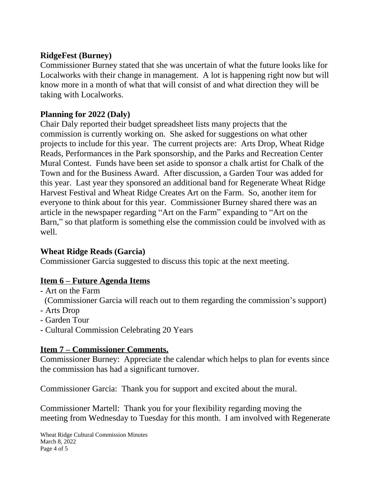### **RidgeFest (Burney)**

Commissioner Burney stated that she was uncertain of what the future looks like for Localworks with their change in management. A lot is happening right now but will know more in a month of what that will consist of and what direction they will be taking with Localworks.

## **Planning for 2022 (Daly)**

Chair Daly reported their budget spreadsheet lists many projects that the commission is currently working on. She asked for suggestions on what other projects to include for this year. The current projects are: Arts Drop, Wheat Ridge Reads, Performances in the Park sponsorship, and the Parks and Recreation Center Mural Contest. Funds have been set aside to sponsor a chalk artist for Chalk of the Town and for the Business Award. After discussion, a Garden Tour was added for this year. Last year they sponsored an additional band for Regenerate Wheat Ridge Harvest Festival and Wheat Ridge Creates Art on the Farm. So, another item for everyone to think about for this year. Commissioner Burney shared there was an article in the newspaper regarding "Art on the Farm" expanding to "Art on the Barn, " so that platform is something else the commission could be involved with as well.

## **Wheat Ridge Reads (Garcia)**

Commissioner Garcia suggested to discuss this topic at the next meeting.

## **Item 6 – Future Agenda Items**

- Art on the Farm
- (Commissioner Garcia will reach out to them regarding the commission's support)
- Arts Drop
- Garden Tour
- Cultural Commission Celebrating 20 Years

## **Item 7 – Commissioner Comments.**

Commissioner Burney: Appreciate the calendar which helps to plan for events since the commission has had a significant turnover.

Commissioner Garcia: Thank you for support and excited about the mural.

Commissioner Martell: Thank you for your flexibility regarding moving the meeting from Wednesday to Tuesday for this month. I am involved with Regenerate

Wheat Ridge Cultural Commission Minutes March 8, 2022 Page 4 of 5